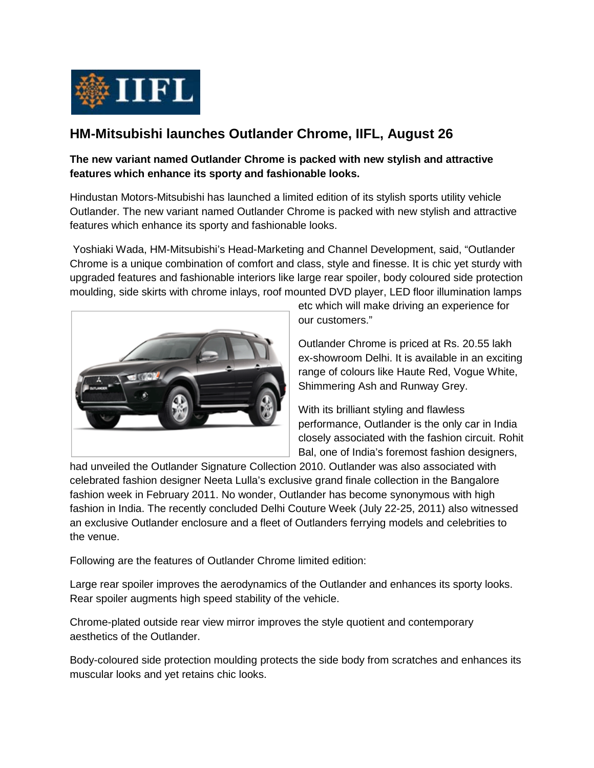

## **HM-Mitsubishi launches Outlander Chrome, IIFL, August 26**

## **The new variant named Outlander Chrome is packed with new stylish and attractive features which enhance its sporty and fashionable looks.**

Hindustan Motors-Mitsubishi has launched a limited edition of its stylish sports utility vehicle Outlander. The new variant named Outlander Chrome is packed with new stylish and attractive features which enhance its sporty and fashionable looks.

Yoshiaki Wada, HM-Mitsubishi's Head-Marketing and Channel Development, said, "Outlander Chrome is a unique combination of comfort and class, style and finesse. It is chic yet sturdy with upgraded features and fashionable interiors like large rear spoiler, body coloured side protection moulding, side skirts with chrome inlays, roof mounted DVD player, LED floor illumination lamps



etc which will make driving an experience for our customers."

Outlander Chrome is priced at Rs. 20.55 lakh ex-showroom Delhi. It is available in an exciting range of colours like Haute Red, Vogue White, Shimmering Ash and Runway Grey.

With its brilliant styling and flawless performance, Outlander is the only car in India closely associated with the fashion circuit. Rohit Bal, one of India's foremost fashion designers,

had unveiled the Outlander Signature Collection 2010. Outlander was also associated with celebrated fashion designer Neeta Lulla's exclusive grand finale collection in the Bangalore fashion week in February 2011. No wonder, Outlander has become synonymous with high fashion in India. The recently concluded Delhi Couture Week (July 22-25, 2011) also witnessed an exclusive Outlander enclosure and a fleet of Outlanders ferrying models and celebrities to the venue.

Following are the features of Outlander Chrome limited edition:

Large rear spoiler improves the aerodynamics of the Outlander and enhances its sporty looks. Rear spoiler augments high speed stability of the vehicle.

Chrome-plated outside rear view mirror improves the style quotient and contemporary aesthetics of the Outlander.

Body-coloured side protection moulding protects the side body from scratches and enhances its muscular looks and yet retains chic looks.